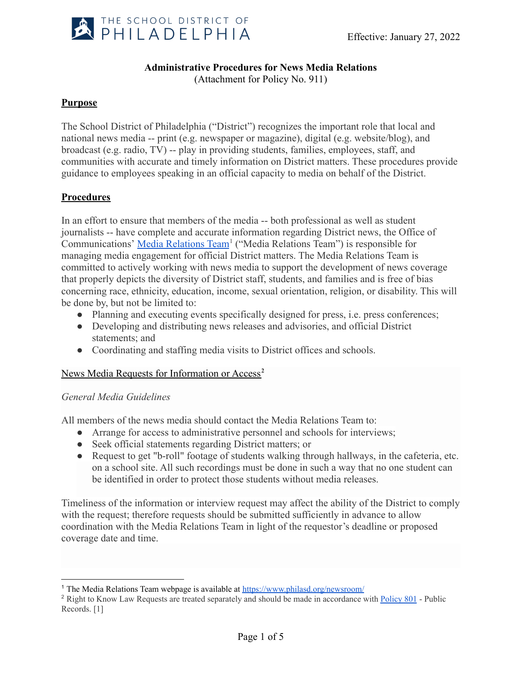

# **Administrative Procedures for News Media Relations**

(Attachment for Policy No. 911)

## **Purpose**

The School District of Philadelphia ("District") recognizes the important role that local and national news media -- print (e.g. newspaper or magazine), digital (e.g. website/blog), and broadcast (e.g. radio, TV) -- play in providing students, families, employees, staff, and communities with accurate and timely information on District matters. These procedures provide guidance to employees speaking in an official capacity to media on behalf of the District.

## **Procedures**

In an effort to ensure that members of the media -- both professional as well as student journalists -- have complete and accurate information regarding District news, the Office of Communications' [Media Relations Team](https://www.philasd.org/newsroom/)<sup>1</sup> ("Media Relations Team") is responsible for managing media engagement for official District matters. The Media Relations Team is committed to actively working with news media to support the development of news coverage that properly depicts the diversity of District staff, students, and families and is free of bias concerning race, ethnicity, education, income, sexual orientation, religion, or disability. This will be done by, but not be limited to:

- Planning and executing events specifically designed for press, i.e. press conferences;
- Developing and distributing news releases and advisories, and official District statements; and
- Coordinating and staffing media visits to District offices and schools.

## News Media Requests for Information or Access**<sup>2</sup>**

## *General Media Guidelines*

All members of the news media should contact the Media Relations Team to:

- Arrange for access to administrative personnel and schools for interviews;
- Seek official statements regarding District matters; or
- Request to get "b-roll" footage of students walking through hallways, in the cafeteria, etc. on a school site. All such recordings must be done in such a way that no one student can be identified in order to protect those students without media releases.

Timeliness of the information or interview request may affect the ability of the District to comply with the request; therefore requests should be submitted sufficiently in advance to allow coordination with the Media Relations Team in light of the requestor's deadline or proposed coverage date and time.

<sup>1</sup> The Media Relations Team webpage is available at <https://www.philasd.org/newsroom/>

<sup>&</sup>lt;sup>2</sup> Right to Know Law Requests are treated separately and should be made in accordance with [Policy](https://www.philasd.org/schoolboard/wp-content/uploads/sites/892/2020/11/Policy_801_Public-Records-11.19.20.pdf) 801 - Public Records. [1]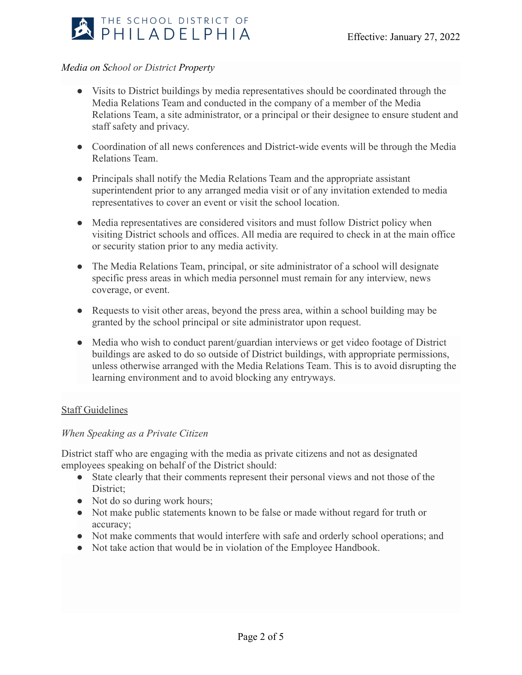

## *Media on School or District Property*

- Visits to District buildings by media representatives should be coordinated through the Media Relations Team and conducted in the company of a member of the Media Relations Team, a site administrator, or a principal or their designee to ensure student and staff safety and privacy.
- Coordination of all news conferences and District-wide events will be through the Media Relations Team.
- Principals shall notify the Media Relations Team and the appropriate assistant superintendent prior to any arranged media visit or of any invitation extended to media representatives to cover an event or visit the school location.
- Media representatives are considered visitors and must follow District policy when visiting District schools and offices. All media are required to check in at the main office or security station prior to any media activity.
- The Media Relations Team, principal, or site administrator of a school will designate specific press areas in which media personnel must remain for any interview, news coverage, or event.
- Requests to visit other areas, beyond the press area, within a school building may be granted by the school principal or site administrator upon request.
- Media who wish to conduct parent/guardian interviews or get video footage of District buildings are asked to do so outside of District buildings, with appropriate permissions, unless otherwise arranged with the Media Relations Team. This is to avoid disrupting the learning environment and to avoid blocking any entryways.

## Staff Guidelines

## *When Speaking as a Private Citizen*

District staff who are engaging with the media as private citizens and not as designated employees speaking on behalf of the District should:

- State clearly that their comments represent their personal views and not those of the District;
- Not do so during work hours;
- Not make public statements known to be false or made without regard for truth or accuracy;
- Not make comments that would interfere with safe and orderly school operations; and
- Not take action that would be in violation of the Employee Handbook.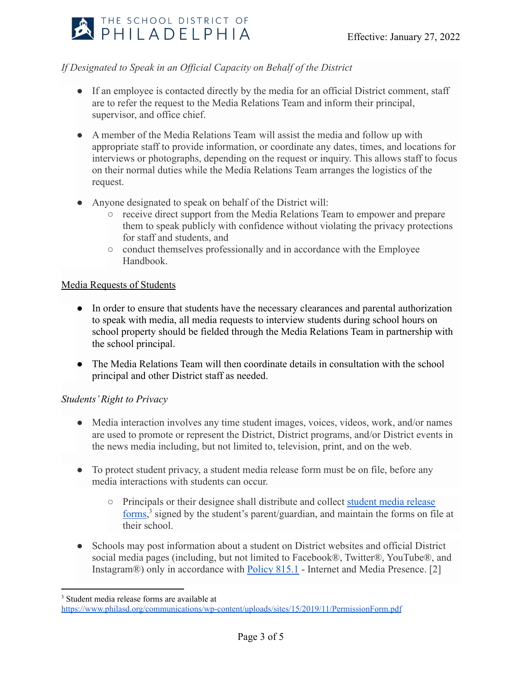

## *If Designated to Speak in an Official Capacity on Behalf of the District*

- If an employee is contacted directly by the media for an official District comment, staff are to refer the request to the Media Relations Team and inform their principal, supervisor, and office chief.
- A member of the Media Relations Team will assist the media and follow up with appropriate staff to provide information, or coordinate any dates, times, and locations for interviews or photographs, depending on the request or inquiry. This allows staff to focus on their normal duties while the Media Relations Team arranges the logistics of the request.
- Anyone designated to speak on behalf of the District will:
	- receive direct support from the Media Relations Team to empower and prepare them to speak publicly with confidence without violating the privacy protections for staff and students, and
	- conduct themselves professionally and in accordance with the Employee Handbook.

## Media Requests of Students

- In order to ensure that students have the necessary clearances and parental authorization to speak with media, all media requests to interview students during school hours on school property should be fielded through the Media Relations Team in partnership with the school principal.
- The Media Relations Team will then coordinate details in consultation with the school principal and other District staff as needed.

## *Students' Right to Privacy*

- Media interaction involves any time student images, voices, videos, work, and/or names are used to promote or represent the District, District programs, and/or District events in the news media including, but not limited to, television, print, and on the web.
- To protect student privacy, a student media release form must be on file, before any media interactions with students can occur.
	- Principals or their designee shall distribute and collect [student media release](https://www.philasd.org/communications/wp-content/uploads/sites/15/2019/11/PermissionForm.pdf) [forms,](https://www.philasd.org/communications/wp-content/uploads/sites/15/2019/11/PermissionForm.pdf) <sup>3</sup> signed by the student's parent/guardian, and maintain the forms on file at their school.
- Schools may post information about a student on District websites and official District social media pages (including, but not limited to Facebook®, Twitter®, YouTube®, and Instagram®) only in accordance with **[Policy 815.1](https://www.philasd.org/schoolboard/wp-content/uploads/sites/892/2020/04/815.1_Internet-and-Media-Presence_Policy_January.pdf)** - Internet and Media Presence. [2]

<sup>3</sup> Student media release forms are available at

<https://www.philasd.org/communications/wp-content/uploads/sites/15/2019/11/PermissionForm.pdf>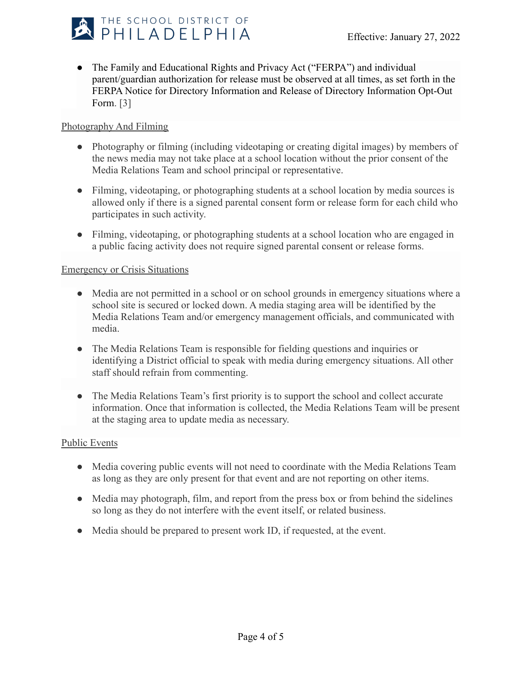

• The Family and Educational Rights and Privacy Act ("FERPA") and individual parent/guardian authorization for release must be observed at all times, as set forth in the FERPA Notice for Directory Information and Release of Directory Information Opt-Out Form. [3]

## Photography And Filming

- Photography or filming (including videotaping or creating digital images) by members of the news media may not take place at a school location without the prior consent of the Media Relations Team and school principal or representative.
- Filming, videotaping, or photographing students at a school location by media sources is allowed only if there is a signed parental consent form or release form for each child who participates in such activity.
- Filming, videotaping, or photographing students at a school location who are engaged in a public facing activity does not require signed parental consent or release forms.

## Emergency or Crisis Situations

- Media are not permitted in a school or on school grounds in emergency situations where a school site is secured or locked down. A media staging area will be identified by the Media Relations Team and/or emergency management officials, and communicated with media.
- The Media Relations Team is responsible for fielding questions and inquiries or identifying a District official to speak with media during emergency situations. All other staff should refrain from commenting.
- The Media Relations Team's first priority is to support the school and collect accurate information. Once that information is collected, the Media Relations Team will be present at the staging area to update media as necessary.

## Public Events

- Media covering public events will not need to coordinate with the Media Relations Team as long as they are only present for that event and are not reporting on other items.
- Media may photograph, film, and report from the press box or from behind the sidelines so long as they do not interfere with the event itself, or related business.
- Media should be prepared to present work ID, if requested, at the event.